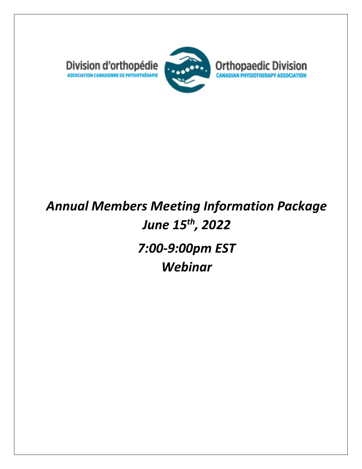

# *Annual Members Meeting Information Package June 15th, 2022*

*7:00-9:00pm EST Webinar*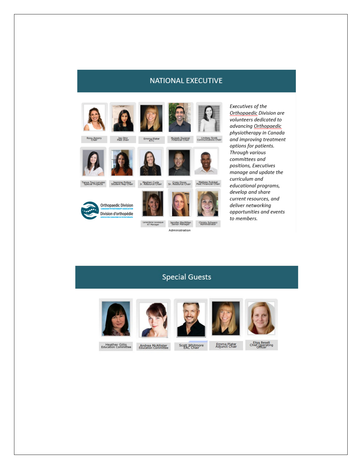### **NATIONAL EXECUTIVE**



Roxy Azoory

Tanya Tsuj-Lorusso<br>Special Projects





Executives of the **Orthopaedic Division are** volunteers dedicated to advancing Orthopaedic physiotherapy in Canada and improving treatment options for patients. Through various committees and positions, Executives manage and update the curriculum and educational programs, develop and share current resources, and deliver networking opportunities and events to members.



Jasmine Pollice<br>Student Rep Chair

Heather Gillis<br>Education Committee



Meghan Curle<br>Jr. Resource Chair



Administration

Sr. Craig Dixon<br>Sr. Resource Chair

**Special Guests** 



Christy Schwarz<br>Administrator

Mathew Pulickal<br>Past Financial Chair





Andrea McAllister<br>Education Committee

Scott Whitmore

Elisa Beselt<br>Chief Operating<br>Officer

Emma Plater<br>Adjunct Chair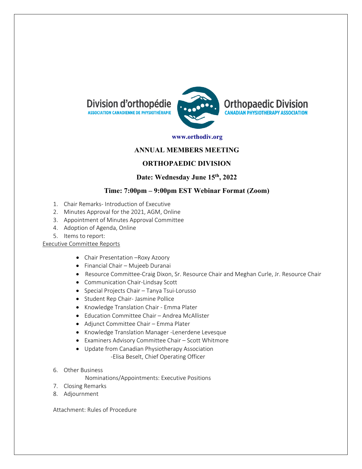



#### **www.orthodiv.org**

### **ANNUAL MEMBERS MEETING**

### **ORTHOPAEDIC DIVISION**

### **Date: Wednesday June 15th, 2022**

### **Time: 7:00pm – 9:00pm EST Webinar Format (Zoom)**

- 1. Chair Remarks- Introduction of Executive
- 2. Minutes Approval for the 2021, AGM, Online
- 3. Appointment of Minutes Approval Committee
- 4. Adoption of Agenda, Online
- 5. Items to report:

#### Executive Committee Reports

- Chair Presentation –Roxy Azoory
- Financial Chair Mujeeb Duranai
- Resource Committee-Craig Dixon, Sr. Resource Chair and Meghan Curle, Jr. Resource Chair
- Communication Chair-Lindsay Scott
- Special Projects Chair Tanya Tsui-Lorusso
- Student Rep Chair- Jasmine Pollice
- Knowledge Translation Chair Emma Plater
- Education Committee Chair Andrea McAllister
- Adjunct Committee Chair Emma Plater
- Knowledge Translation Manager -Lenerdene Levesque
- Examiners Advisory Committee Chair Scott Whitmore
- Update from Canadian Physiotherapy Association
	- -Elisa Beselt, Chief Operating Officer
- 6. Other Business

Nominations/Appointments: Executive Positions

- 7. Closing Remarks
- 8. Adjournment

Attachment: Rules of Procedure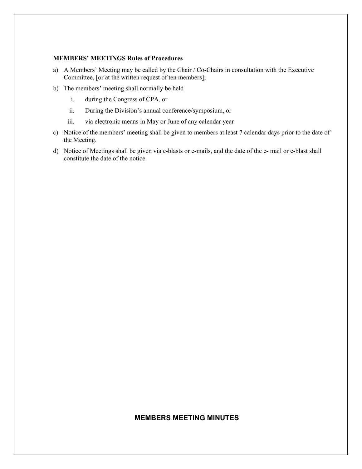### **MEMBERS' MEETINGS Rules of Procedures**

- a) A Members' Meeting may be called by the Chair / Co-Chairs in consultation with the Executive Committee, [or at the written request of ten members];
- b) The members' meeting shall normally be held
	- i. during the Congress of CPA, or
	- ii. During the Division's annual conference/symposium, or
	- iii. via electronic means in May or June of any calendar year
- c) Notice of the members' meeting shall be given to members at least 7 calendar days prior to the date of the Meeting.
- d) Notice of Meetings shall be given via e-blasts or e-mails, and the date of the e- mail or e-blast shall constitute the date of the notice.

### **MEMBERS MEETING MINUTES**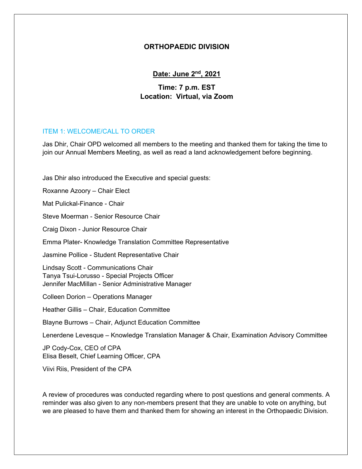### **ORTHOPAEDIC DIVISION**

### **Date: June 2nd, 2021**

### **Time: 7 p.m. EST Location: Virtual, via Zoom**

### ITEM 1: WELCOME/CALL TO ORDER

Jas Dhir, Chair OPD welcomed all members to the meeting and thanked them for taking the time to join our Annual Members Meeting, as well as read a land acknowledgement before beginning.

Jas Dhir also introduced the Executive and special guests:

Roxanne Azoory – Chair Elect

Mat Pulickal-Finance - Chair

Steve Moerman - Senior Resource Chair

Craig Dixon - Junior Resource Chair

Emma Plater- Knowledge Translation Committee Representative

Jasmine Pollice - Student Representative Chair

Lindsay Scott - Communications Chair Tanya Tsui-Lorusso - Special Projects Officer Jennifer MacMillan - Senior Administrative Manager

Colleen Dorion – Operations Manager

Heather Gillis – Chair, Education Committee

Blayne Burrows – Chair, Adjunct Education Committee

Lenerdene Levesque – Knowledge Translation Manager & Chair, Examination Advisory Committee

JP Cody-Cox, CEO of CPA Elisa Beselt, Chief Learning Officer, CPA

Viivi Riis, President of the CPA

A review of procedures was conducted regarding where to post questions and general comments. A reminder was also given to any non-members present that they are unable to vote on anything, but we are pleased to have them and thanked them for showing an interest in the Orthopaedic Division.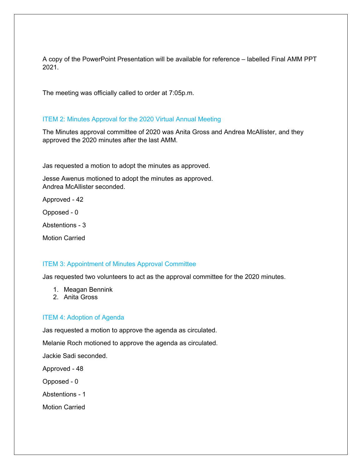A copy of the PowerPoint Presentation will be available for reference – labelled Final AMM PPT 2021.

The meeting was officially called to order at 7:05p.m.

### ITEM 2: Minutes Approval for the 2020 Virtual Annual Meeting

The Minutes approval committee of 2020 was Anita Gross and Andrea McAllister, and they approved the 2020 minutes after the last AMM.

Jas requested a motion to adopt the minutes as approved.

Jesse Awenus motioned to adopt the minutes as approved. Andrea McAllister seconded.

Approved - 42

Opposed - 0

Abstentions - 3

Motion Carried

### ITEM 3: Appointment of Minutes Approval Committee

Jas requested two volunteers to act as the approval committee for the 2020 minutes.

- 1. Meagan Bennink
- 2. Anita Gross

### ITEM 4: Adoption of Agenda

Jas requested a motion to approve the agenda as circulated.

Melanie Roch motioned to approve the agenda as circulated.

Jackie Sadi seconded.

Approved - 48

Opposed - 0

Abstentions - 1

Motion Carried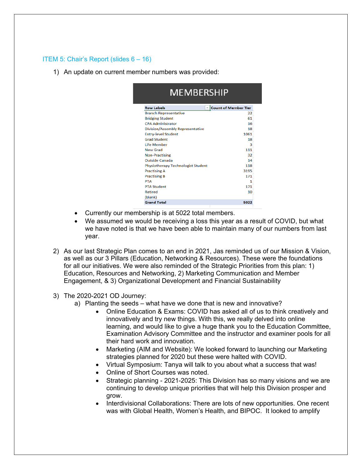### ITEM 5: Chair's Report (slides 6 – 16)

1) An update on current member numbers was provided:

| <b>Row Labels</b>                         | Count of Member Tier |
|-------------------------------------------|----------------------|
| <b>Branch Representative</b>              | 22                   |
| <b>Bridging Student</b>                   | 61                   |
| <b>CPA Administrator</b>                  | 16                   |
| <b>Division/Assembly Representative</b>   | 18                   |
| <b>Entry-level Student</b>                | 1061                 |
| <b>Grad Student</b>                       | 18                   |
| <b>Life Member</b>                        | з                    |
| New Grad                                  | 111                  |
| <b>Non-Practising</b>                     | 32                   |
| Outside Canada                            | 14                   |
| <b>Physiotherapy Technologist Student</b> | 118                  |
| <b>Practising A</b>                       | 3195                 |
| <b>Practising B</b>                       | 171                  |
| <b>PTA</b>                                | 1                    |
| <b>PTA Student</b>                        | 171                  |
| <b>Retired</b>                            | 10                   |
| (blank)                                   |                      |

- Currently our membership is at 5022 total members.
- We assumed we would be receiving a loss this year as a result of COVID, but what we have noted is that we have been able to maintain many of our numbers from last year.
- 2) As our last Strategic Plan comes to an end in 2021, Jas reminded us of our Mission & Vision, as well as our 3 Pillars (Education, Networking & Resources). These were the foundations for all our initiatives. We were also reminded of the Strategic Priorities from this plan: 1) Education, Resources and Networking, 2) Marketing Communication and Member Engagement, & 3) Organizational Development and Financial Sustainability
- 3) The 2020-2021 OD Journey:
	- a) Planting the seeds what have we done that is new and innovative?
		- Online Education & Exams: COVID has asked all of us to think creatively and innovatively and try new things. With this, we really delved into online learning, and would like to give a huge thank you to the Education Committee, Examination Advisory Committee and the instructor and examiner pools for all their hard work and innovation.
		- Marketing (AIM and Website): We looked forward to launching our Marketing strategies planned for 2020 but these were halted with COVID.
		- Virtual Symposium: Tanya will talk to you about what a success that was!
		- Online of Short Courses was noted.
		- Strategic planning 2021-2025: This Division has so many visions and we are continuing to develop unique priorities that will help this Division prosper and grow.
		- Interdivisional Collaborations: There are lots of new opportunities. One recent was with Global Health, Women's Health, and BIPOC. It looked to amplify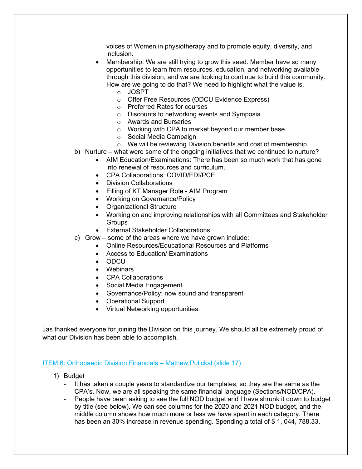voices of Women in physiotherapy and to promote equity, diversity, and inclusion.

- Membership: We are still trying to grow this seed. Member have so many opportunities to learn from resources, education, and networking available through this division, and we are looking to continue to build this community. How are we going to do that? We need to highlight what the value is.
	- o JOSPT
	- o Offer Free Resources (ODCU Evidence Express)
	- o Preferred Rates for courses
	- o Discounts to networking events and Symposia
	- o Awards and Bursaries
	- o Working with CPA to market beyond our member base
	- o Social Media Campaign
	- o We will be reviewing Division benefits and cost of membership.
- b) Nurture what were some of the ongoing initiatives that we continued to nurture?
	- AIM Education/Examinations: There has been so much work that has gone into renewal of resources and curriculum.
	- CPA Collaborations: COVID/EDI/PCE
	- Division Collaborations
	- Filling of KT Manager Role AIM Program
	- Working on Governance/Policy
	- Organizational Structure
	- Working on and improving relationships with all Committees and Stakeholder **Groups**
	- External Stakeholder Collaborations
- c) Grow some of the areas where we have grown include:
	- Online Resources/Educational Resources and Platforms
	- Access to Education/ Examinations
	- ODCU
	- Webinars
	- CPA Collaborations
	- Social Media Engagement
	- Governance/Policy: now sound and transparent
	- Operational Support
	- Virtual Networking opportunities.

Jas thanked everyone for joining the Division on this journey. We should all be extremely proud of what our Division has been able to accomplish.

### ITEM 6: Orthopaedic Division Financials – Mathew Pulickal (slide 17)

- 1) Budget
	- It has taken a couple years to standardize our templates, so they are the same as the CPA's. Now, we are all speaking the same financial language (Sections/NOD/CPA).
	- People have been asking to see the full NOD budget and I have shrunk it down to budget by title (see below). We can see columns for the 2020 and 2021 NOD budget, and the middle column shows how much more or less we have spent in each category. There has been an 30% increase in revenue spending. Spending a total of \$1,044,788.33.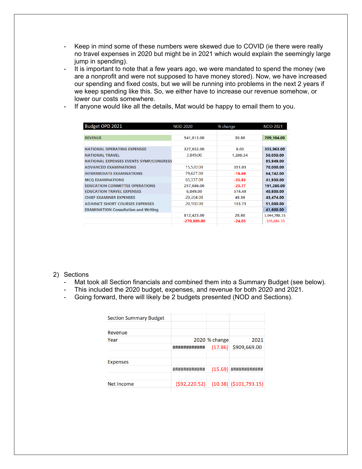- Keep in mind some of these numbers were skewed due to COVID (ie there were really no travel expenses in 2020 but might be in 2021 which would explain the seemingly large jump in spending).
- It is important to note that a few years ago, we were mandated to spend the money (we are a nonprofit and were not supposed to have money stored). Now, we have increased our spending and fixed costs, but we will be running into problems in the next 2 years if we keep spending like this. So, we either have to increase our revenue somehow, or lower our costs somewhere.
- If anyone would like all the details, Mat would be happy to email them to you.

| Budget OPD 2021                             | <b>NOD 2020</b> | % change | <b>NOD 2021</b> |
|---------------------------------------------|-----------------|----------|-----------------|
|                                             |                 |          |                 |
| <b>REVENUE</b>                              | 541,813.00      | 30.88    | 709,104.00      |
|                                             |                 |          |                 |
| <b>NATIONAL OPERATING EXPENSES</b>          | 327.652.00      | 8.03     | 353.963.00      |
| <b>NATIONAL TRAVEL</b>                      | 3,849.00        | 1,200.34 | 50,050.00       |
| NATIONAL EXPENSES EVENTS SYMP/CONGRESS      |                 |          | 95,949.00       |
| <b>ADVANCED EXAMINATIONS</b>                | 15,520.00       | 351.03   | 70,000.00       |
| <b>INTERMEDIATE EXAMINATIONS</b>            | 79.627.00       | $-18.69$ | 64,742.00       |
| <b>MCQ EXAMINATIONS</b>                     | 65,337.00       | $-35.83$ | 41,930.00       |
| <b>EDUCATION COMMITTEE OPERATIONS</b>       | 257.686.00      | $-25.77$ | 191.280.00      |
| <b>EDUCATION TRAVEL EXPENSES</b>            | 6,049.00        | 574.49   | 40,800.00       |
| <b>CHIEF EXAMINER EXPENSES</b>              | 29,304.00       | 48.36    | 43.474.00       |
| <b>ADJUNCT SHORT COURSES EXPENSES</b>       | 20.100.00       | 153.73   | 51,000.00       |
| <b>EXAMINATION Consultation and Writing</b> |                 |          | 41.600.00       |
|                                             | 812,423.00      | 28.60    | 1,044,788.33    |
|                                             | -270.609.00     | $-24.05$ | $-335,684.33$   |
|                                             |                 |          |                 |

### 2) Sections

- Mat took all Section financials and combined them into a Summary Budget (see below).
- This included the 2020 budget, expenses, and revenue for both 2020 and 2021.<br>- Going forward, there will likely be 2 budgets presented (NOD and Sections).
- Going forward, there will likely be 2 budgets presented (NOD and Sections).

| <b>Section Summary Budget</b> |               |               |                          |
|-------------------------------|---------------|---------------|--------------------------|
|                               |               |               |                          |
| Revenue                       |               |               |                          |
| Year                          |               | 2020 % change | 2021                     |
|                               | ############  |               | $(17.86)$ \$909,669.00   |
|                               |               |               |                          |
| <b>Expenses</b>               |               |               |                          |
|                               |               |               | $(15.69)$ ########       |
|                               |               |               |                          |
| Net Income                    | (592, 220.52) |               | $(10.38)$ (\$101,793.15) |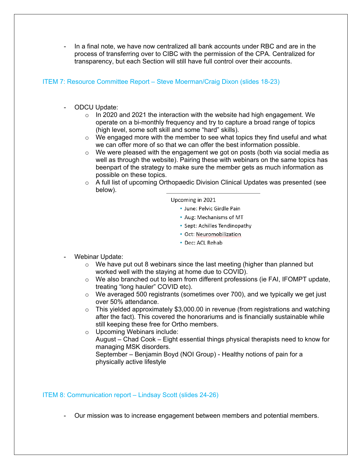- In a final note, we have now centralized all bank accounts under RBC and are in the process of transferring over to CIBC with the permission of the CPA. Centralized for transparency, but each Section will still have full control over their accounts.

### ITEM 7: Resource Committee Report – Steve Moerman/Craig Dixon (slides 18-23)

- ODCU Update:
	- $\circ$  In 2020 and 2021 the interaction with the website had high engagement. We operate on a bi-monthly frequency and try to capture a broad range of topics (high level, some soft skill and some "hard" skills).
	- $\circ$  We engaged more with the member to see what topics they find useful and what we can offer more of so that we can offer the best information possible.
	- $\circ$  We were pleased with the engagement we got on posts (both via social media as well as through the website). Pairing these with webinars on the same topics has beenpart of the strategy to make sure the member gets as much information as possible on these topics.
	- o A full list of upcoming Orthopaedic Division Clinical Updates was presented (see below).

#### Upcoming in 2021

- · June: Pelvic Girdle Pain
- Aug: Mechanisms of MT
- Sept: Achilles Tendinopathy
- Oct: Neuromobilization
- Dec: ACL Rehab

- Webinar Update:
	- $\circ$  We have put out 8 webinars since the last meeting (higher than planned but worked well with the staying at home due to COVID).
	- $\circ$  We also branched out to learn from different professions (ie FAI, IFOMPT update, treating "long hauler" COVID etc).
	- $\circ$  We averaged 500 registrants (sometimes over 700), and we typically we get just over 50% attendance.
	- $\circ$  This yielded approximately \$3,000.00 in revenue (from registrations and watching after the fact). This covered the honorariums and is financially sustainable while still keeping these free for Ortho members.
	- o Upcoming Webinars include:
		- August Chad Cook Eight essential things physical therapists need to know for managing MSK disorders.

September – Benjamin Boyd (NOI Group) - Healthy notions of pain for a physically active lifestyle

#### ITEM 8: Communication report – Lindsay Scott (slides 24-26)

- Our mission was to increase engagement between members and potential members.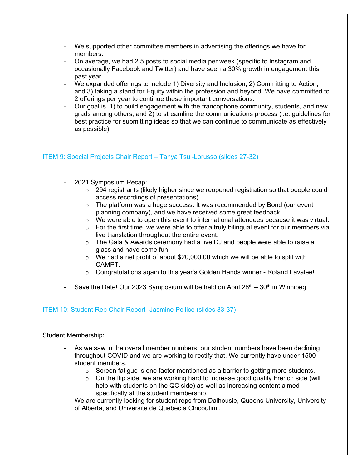- We supported other committee members in advertising the offerings we have for members.
- On average, we had 2.5 posts to social media per week (specific to Instagram and occasionally Facebook and Twitter) and have seen a 30% growth in engagement this past year.
- We expanded offerings to include 1) Diversity and Inclusion, 2) Committing to Action, and 3) taking a stand for Equity within the profession and beyond. We have committed to 2 offerings per year to continue these important conversations.
- Our goal is, 1) to build engagement with the francophone community, students, and new grads among others, and 2) to streamline the communications process (i.e. guidelines for best practice for submitting ideas so that we can continue to communicate as effectively as possible).

### ITEM 9: Special Projects Chair Report – Tanya Tsui-Lorusso (slides 27-32)

- 2021 Symposium Recap:
	- $\circ$  294 registrants (likely higher since we reopened registration so that people could access recordings of presentations).
	- $\circ$  The platform was a huge success. It was recommended by Bond (our event planning company), and we have received some great feedback.
	- $\circ$  We were able to open this event to international attendees because it was virtual.
	- $\circ$  For the first time, we were able to offer a truly bilingual event for our members via live translation throughout the entire event.
	- $\circ$  The Gala & Awards ceremony had a live DJ and people were able to raise a glass and have some fun!
	- o We had a net profit of about \$20,000.00 which we will be able to split with CAMPT.
	- $\circ$  Congratulations again to this year's Golden Hands winner Roland Lavalee!
- Save the Date! Our 2023 Symposium will be held on April  $28<sup>th</sup> 30<sup>th</sup>$  in Winnipeg.

### ITEM 10: Student Rep Chair Report- Jasmine Pollice (slides 33-37)

### Student Membership:

- As we saw in the overall member numbers, our student numbers have been declining throughout COVID and we are working to rectify that. We currently have under 1500 student members.
	- $\circ$  Screen fatigue is one factor mentioned as a barrier to getting more students.
	- $\circ$  On the flip side, we are working hard to increase good quality French side (will help with students on the QC side) as well as increasing content aimed specifically at the student membership.
- We are currently looking for student reps from Dalhousie, Queens University, University of Alberta, and Université de Québec à Chicoutimi.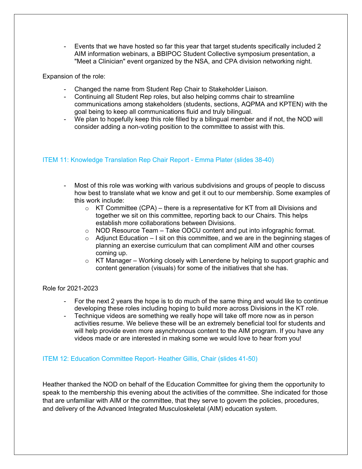- Events that we have hosted so far this year that target students specifically included 2 AIM information webinars, a BBIPOC Student Collective symposium presentation, a "Meet a Clinician" event organized by the NSA, and CPA division networking night.

Expansion of the role:

- Changed the name from Student Rep Chair to Stakeholder Liaison.
- Continuing all Student Rep roles, but also helping comms chair to streamline communications among stakeholders (students, sections, AQPMA and KPTEN) with the goal being to keep all communications fluid and truly bilingual.
- We plan to hopefully keep this role filled by a bilingual member and if not, the NOD will consider adding a non-voting position to the committee to assist with this.

### ITEM 11: Knowledge Translation Rep Chair Report - Emma Plater (slides 38-40)

- Most of this role was working with various subdivisions and groups of people to discuss how best to translate what we know and get it out to our membership. Some examples of this work include:
	- $\circ$  KT Committee (CPA) there is a representative for KT from all Divisions and together we sit on this committee, reporting back to our Chairs. This helps establish more collaborations between Divisions.
	- o NOD Resource Team Take ODCU content and put into infographic format.
	- $\circ$  Adjunct Education I sit on this committee, and we are in the beginning stages of planning an exercise curriculum that can compliment AIM and other courses coming up.
	- $\circ$  KT Manager Working closely with Lenerdene by helping to support graphic and content generation (visuals) for some of the initiatives that she has.

### Role for 2021-2023

- For the next 2 years the hope is to do much of the same thing and would like to continue developing these roles including hoping to build more across Divisions in the KT role.
- Technique videos are something we really hope will take off more now as in person activities resume. We believe these will be an extremely beneficial tool for students and will help provide even more asynchronous content to the AIM program. If you have any videos made or are interested in making some we would love to hear from you!

### ITEM 12: Education Committee Report- Heather Gillis, Chair (slides 41-50)

Heather thanked the NOD on behalf of the Education Committee for giving them the opportunity to speak to the membership this evening about the activities of the committee. She indicated for those that are unfamiliar with AIM or the committee, that they serve to govern the policies, procedures, and delivery of the Advanced Integrated Musculoskeletal (AIM) education system.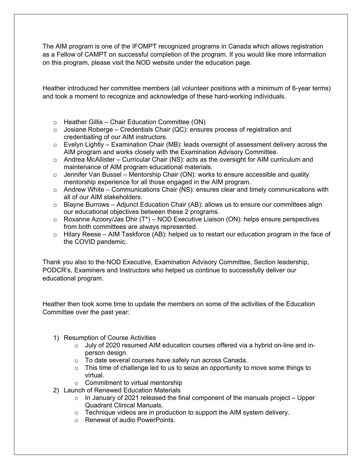The AIM program is one of the IFOMPT recognized programs in Canada which allows registration as a Fellow of CAMPT on successful completion of the program. If you would like more information on this program, please visit the NOD website under the education page.

Heather introduced her committee members (all volunteer positions with a minimum of 6-year terms) and took a moment to recognize and acknowledge of these hard-working individuals.

- $\circ$  Heather Gillis Chair Education Committee (ON)
- $\circ$  Josiane Roberge Credentials Chair (QC): ensures process of registration and credentialling of our AIM instructors.
- $\circ$  Evelyn Lightly Examination Chair (MB): leads oversight of assessment delivery across the AIM program and works closely with the Examination Advisory Committee.
- $\circ$  Andrea McAllister Curricular Chair (NS): acts as the oversight for AIM curriculum and maintenance of AIM program educational materials.
- $\circ$  Jennifer Van Bussel Mentorship Chair (ON): works to ensure accessible and quality mentorship experience for all those engaged in the AIM program.
- $\circ$  Andrew White Communications Chair (NS): ensures clear and timely communications with all of our AIM stakeholders.
- $\circ$  Blayne Burrows Adjunct Education Chair (AB): allows us to ensure our committees align our educational objectives between these 2 programs.
- $\circ$  Roxanne Azoory/Jas Dhir (T\*) NOD Executive Liaison (ON): helps ensure perspectives from both committees are always represented.
- $\circ$  Hilary Reese AIM Taskforce (AB): helped us to restart our education program in the face of the COVID pandemic.

Thank you also to the NOD Executive, Examination Advisory Committee, Section leadership, PODCR's, Examiners and Instructors who helped us continue to successfully deliver our educational program.

Heather then took some time to update the members on some of the activities of the Education Committee over the past year:

- 1) Resumption of Course Activities
	- $\circ$  July of 2020 resumed AIM education courses offered via a hybrid on-line and inperson design.
	- o To date several courses have safely run across Canada.
	- $\circ$  This time of challenge led to us to seize an opportunity to move some things to virtual.
	- $\circ$  Commitment to virtual mentorship
- 2) Launch of Renewed Education Materials
	- $\circ$  In January of 2021 released the final component of the manuals project Upper Quadrant Clinical Manuals.
	- $\circ$  Technique videos are in production to support the AIM system delivery.
	- o Renewal of audio PowerPoints.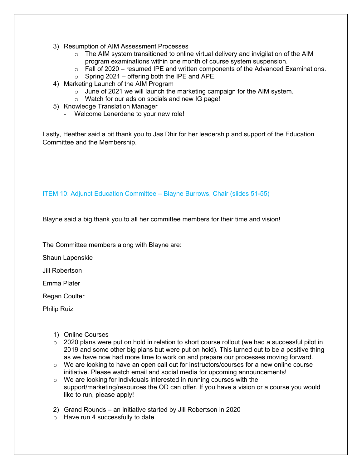- 3) Resumption of AIM Assessment Processes
	- $\circ$  The AIM system transitioned to online virtual delivery and invigilation of the AIM program examinations within one month of course system suspension.
	- $\circ$  Fall of 2020 resumed IPE and written components of the Advanced Examinations.
	- $\circ$  Spring 2021 offering both the IPE and APE.
- 4) Marketing Launch of the AIM Program
	- o June of 2021 we will launch the marketing campaign for the AIM system.
	- o Watch for our ads on socials and new IG page!
- 5) Knowledge Translation Manager
	- Welcome Lenerdene to your new role!

Lastly, Heather said a bit thank you to Jas Dhir for her leadership and support of the Education Committee and the Membership.

ITEM 10: Adjunct Education Committee – Blayne Burrows, Chair (slides 51-55)

Blayne said a big thank you to all her committee members for their time and vision!

The Committee members along with Blayne are:

Shaun Lapenskie

Jill Robertson

Emma Plater

Regan Coulter

Philip Ruiz

- 1) Online Courses
- $\circ$  2020 plans were put on hold in relation to short course rollout (we had a successful pilot in 2019 and some other big plans but were put on hold). This turned out to be a positive thing as we have now had more time to work on and prepare our processes moving forward.
- $\circ$  We are looking to have an open call out for instructors/courses for a new online course initiative. Please watch email and social media for upcoming announcements!
- $\circ$  We are looking for individuals interested in running courses with the support/marketing/resources the OD can offer. If you have a vision or a course you would like to run, please apply!
- 2) Grand Rounds an initiative started by Jill Robertson in 2020
- o Have run 4 successfully to date.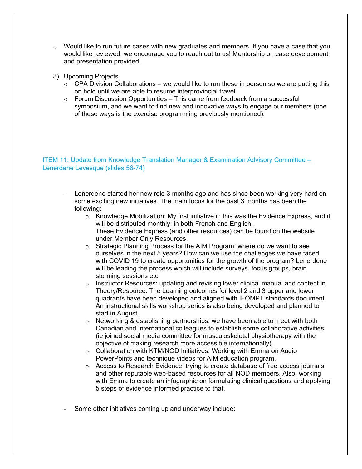- $\circ$  Would like to run future cases with new graduates and members. If you have a case that you would like reviewed, we encourage you to reach out to us! Mentorship on case development and presentation provided.
- 3) Upcoming Projects
	- $\circ$  CPA Division Collaborations we would like to run these in person so we are putting this on hold until we are able to resume interprovincial travel.
	- $\circ$  Forum Discussion Opportunities This came from feedback from a successful symposium, and we want to find new and innovative ways to engage our members (one of these ways is the exercise programming previously mentioned).

### ITEM 11: Update from Knowledge Translation Manager & Examination Advisory Committee – Lenerdene Levesque (slides 56-74)

- Lenerdene started her new role 3 months ago and has since been working very hard on some exciting new initiatives. The main focus for the past 3 months has been the following:
	- $\circ$  Knowledge Mobilization: My first initiative in this was the Evidence Express, and it will be distributed monthly, in both French and English. These Evidence Express (and other resources) can be found on the website under Member Only Resources.
	- $\circ$  Strategic Planning Process for the AIM Program: where do we want to see ourselves in the next 5 years? How can we use the challenges we have faced with COVID 19 to create opportunities for the growth of the program? Lenerdene will be leading the process which will include surveys, focus groups, brain storming sessions etc.
	- o Instructor Resources: updating and revising lower clinical manual and content in Theory/Resource. The Learning outcomes for level 2 and 3 upper and lower quadrants have been developed and aligned with IFOMPT standards document. An instructional skills workshop series is also being developed and planned to start in August.
	- $\circ$  Networking & establishing partnerships: we have been able to meet with both Canadian and International colleagues to establish some collaborative activities (ie joined social media committee for musculoskeletal physiotherapy with the objective of making research more accessible internationally).
	- $\circ$  Collaboration with KTM/NOD Initiatives: Working with Emma on Audio PowerPoints and technique videos for AIM education program.
	- $\circ$  Access to Research Evidence: trying to create database of free access journals and other reputable web-based resources for all NOD members. Also, working with Emma to create an infographic on formulating clinical questions and applying 5 steps of evidence informed practice to that.
- Some other initiatives coming up and underway include: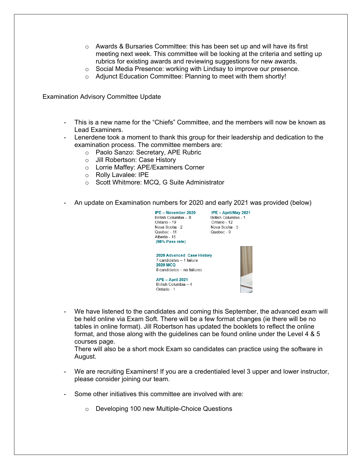- $\circ$  Awards & Bursaries Committee: this has been set up and will have its first meeting next week. This committee will be looking at the criteria and setting up rubrics for existing awards and reviewing suggestions for new awards.
- $\circ$  Social Media Presence: working with Lindsay to improve our presence.
- o Adjunct Education Committee: Planning to meet with them shortly!

Examination Advisory Committee Update

- This is a new name for the "Chiefs" Committee, and the members will now be known as Lead Examiners.
- Lenerdene took a moment to thank this group for their leadership and dedication to the examination process. The committee members are:
	- o Paolo Sanzo: Secretary, APE Rubric
	- o Jill Robertson: Case History
	- o Lorrie Maffey: APE/Examiners Corner
	- o Rolly Lavalee: IPE
	- o Scott Whitmore: MCQ, G Suite Administrator
- An update on Examination numbers for 2020 and early 2021 was provided (below)



We have listened to the candidates and coming this September, the advanced exam will be held online via Exam Soft. There will be a few format changes (ie there will be no tables in online format). Jill Robertson has updated the booklets to reflect the online format, and those along with the guidelines can be found online under the Level 4 & 5 courses page.

There will also be a short mock Exam so candidates can practice using the software in August.

- We are recruiting Examiners! If you are a credentialed level 3 upper and lower instructor, please consider joining our team.
- Some other initiatives this committee are involved with are:
	- o Developing 100 new Multiple-Choice Questions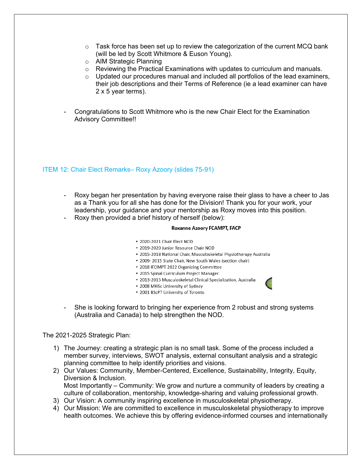- $\circ$  Task force has been set up to review the categorization of the current MCQ bank (will be led by Scott Whitmore & Euson Young).
- o AIM Strategic Planning
- o Reviewing the Practical Examinations with updates to curriculum and manuals.
- $\circ$  Updated our procedures manual and included all portfolios of the lead examiners, their job descriptions and their Terms of Reference (ie a lead examiner can have 2 x 5 year terms).
- Congratulations to Scott Whitmore who is the new Chair Elect for the Examination Advisory Committee!!

### ITEM 12: Chair Elect Remarks– Roxy Azoory (slides 75-91)

- Roxy began her presentation by having everyone raise their glass to have a cheer to Jas as a Thank you for all she has done for the Division! Thank you for your work, your leadership, your guidance and your mentorship as Roxy moves into this position.
	- Roxy then provided a brief history of herself (below):

#### **Roxanne Azoory FCAMPT, FACP**

- 2020-2021 Chair Flect NOD
- · 2019-2020 Junior Resource Chair NOD
- 2015-2018 National Chair, Musculoskeletal Physiotherapy Australia
- 2009-2015 State Chair, New South Wales (section chair)
- 2018 IFOMPT 2022 Organizing Committee
- 2015 Spinal Curriculum Project Manager
- 2013-2015 Musculoskeletal Clinical Specialization, Australia
- 2008 MHSc University of Sydney
- 2001 BScPT University of Toronto
- She is looking forward to bringing her experience from 2 robust and strong systems (Australia and Canada) to help strengthen the NOD.

The 2021-2025 Strategic Plan:

- 1) The Journey: creating a strategic plan is no small task. Some of the process included a member survey, interviews, SWOT analysis, external consultant analysis and a strategic planning committee to help identify priorities and visions.
- 2) Our Values: Community, Member-Centered, Excellence, Sustainability, Integrity, Equity, Diversion & Inclusion. Most Importantly – Community: We grow and nurture a community of leaders by creating a culture of collaboration, mentorship, knowledge-sharing and valuing professional growth.
- 3) Our Vision: A community inspiring excellence in musculoskeletal physiotherapy.
- 4) Our Mission: We are committed to excellence in musculoskeletal physiotherapy to improve health outcomes. We achieve this by offering evidence-informed courses and internationally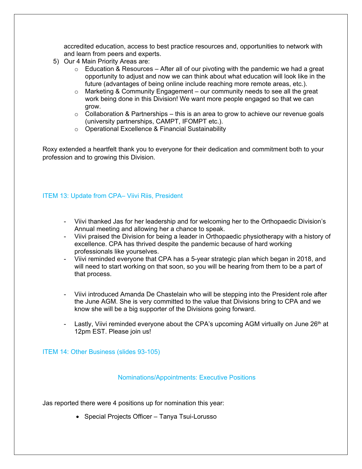accredited education, access to best practice resources and, opportunities to network with and learn from peers and experts.

- 5) Our 4 Main Priority Areas are:
	- $\circ$  Education & Resources After all of our pivoting with the pandemic we had a great opportunity to adjust and now we can think about what education will look like in the future (advantages of being online include reaching more remote areas, etc.).
	- $\circ$  Marketing & Community Engagement our community needs to see all the great work being done in this Division! We want more people engaged so that we can grow.
	- $\circ$  Collaboration & Partnerships this is an area to grow to achieve our revenue goals (university partnerships, CAMPT, IFOMPT etc.).
	- o Operational Excellence & Financial Sustainability

Roxy extended a heartfelt thank you to everyone for their dedication and commitment both to your profession and to growing this Division.

### ITEM 13: Update from CPA– Viivi Riis, President

- Viivi thanked Jas for her leadership and for welcoming her to the Orthopaedic Division's Annual meeting and allowing her a chance to speak.
- Viivi praised the Division for being a leader in Orthopaedic physiotherapy with a history of excellence. CPA has thrived despite the pandemic because of hard working professionals like yourselves.
- Viivi reminded everyone that CPA has a 5-year strategic plan which began in 2018, and will need to start working on that soon, so you will be hearing from them to be a part of that process.
- Viivi introduced Amanda De Chastelain who will be stepping into the President role after the June AGM. She is very committed to the value that Divisions bring to CPA and we know she will be a big supporter of the Divisions going forward.
- Lastly, Viivi reminded everyone about the CPA's upcoming AGM virtually on June  $26<sup>th</sup>$  at 12pm EST. Please join us!

ITEM 14: Other Business (slides 93-105)

Nominations/Appointments: Executive Positions

Jas reported there were 4 positions up for nomination this year:

• Special Projects Officer – Tanya Tsui-Lorusso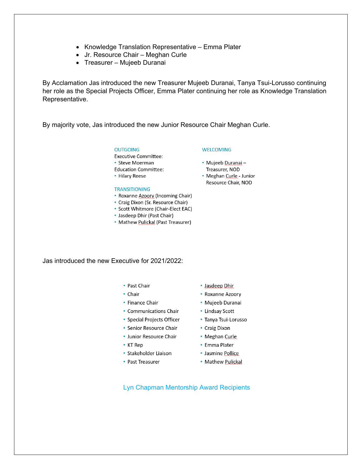- Knowledge Translation Representative Emma Plater
- Jr. Resource Chair Meghan Curle
- Treasurer Mujeeb Duranai

By Acclamation Jas introduced the new Treasurer Mujeeb Duranai, Tanya Tsui-Lorusso continuing her role as the Special Projects Officer, Emma Plater continuing her role as Knowledge Translation Representative.

By majority vote, Jas introduced the new Junior Resource Chair Meghan Curle.

#### **OUTGOING**

- **Executive Committee:**
- Steve Moerman
- **Education Committee:**
- Hilary Reese

#### **TRANSITIONING**

- Roxanne Azoory (Incoming Chair)
- Craig Dixon (Sr. Resource Chair)
- Scott Whitmore (Chair-Elect EAC)
- Jasdeep Dhir (Past Chair)
- Mathew Pulickal (Past Treasurer)

# Jas introduced the new Executive for 2021/2022:

- Past Chair
- Chair
- Finance Chair
- Communications Chair
- Special Projects Officer
- Senior Resource Chair
- Junior Resource Chair
- KT Rep
- Stakeholder Liaison
- Past Treasurer
- Jasdeep Dhir
- Roxanne Azoory
- Mujeeb Duranai
- Lindsay Scott
- Tanya Tsui-Lorusso
- Craig Dixon
- Meghan Curle
- Emma Plater
- · Jasmine Pollice
- Mathew Pulickal

Lyn Chapman Mentorship Award Recipients

• Mujeeb Duranai-Treasurer, NOD

**WELCOMING** 

- 
- Meghan Curle Junior Resource Chair, NOD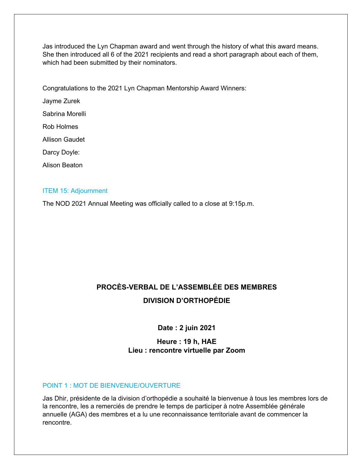Jas introduced the Lyn Chapman award and went through the history of what this award means. She then introduced all 6 of the 2021 recipients and read a short paragraph about each of them, which had been submitted by their nominators.

Congratulations to the 2021 Lyn Chapman Mentorship Award Winners:

Jayme Zurek

Sabrina Morelli

Rob Holmes

Allison Gaudet

Darcy Doyle:

Alison Beaton

### ITEM 15: Adjournment

The NOD 2021 Annual Meeting was officially called to a close at 9:15p.m.

# **PROCÈS-VERBAL DE L'ASSEMBLÉE DES MEMBRES DIVISION D'ORTHOPÉDIE**

**Date : 2 juin 2021**

**Heure : 19 h, HAE Lieu : rencontre virtuelle par Zoom**

### POINT 1 : MOT DE BIENVENUE/OUVERTURE

Jas Dhir, présidente de la division d'orthopédie a souhaité la bienvenue à tous les membres lors de la rencontre, les a remerciés de prendre le temps de participer à notre Assemblée générale annuelle (AGA) des membres et a lu une reconnaissance territoriale avant de commencer la rencontre.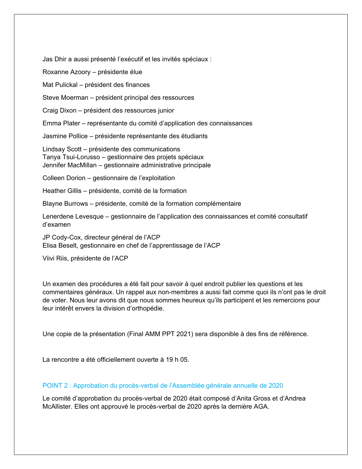Jas Dhir a aussi présenté l'exécutif et les invités spéciaux :

Roxanne Azoory – présidente élue

Mat Pulickal – président des finances

Steve Moerman – président principal des ressources

Craig Dixon – président des ressources junior

Emma Plater – représentante du comité d'application des connaissances

Jasmine Pollice – présidente représentante des étudiants

Lindsay Scott – présidente des communications Tanya Tsui-Lorusso – gestionnaire des projets spéciaux Jennifer MacMillan – gestionnaire administrative principale

Colleen Dorion – gestionnaire de l'exploitation

Heather Gillis – présidente, comité de la formation

Blayne Burrows – présidente, comité de la formation complémentaire

Lenerdene Levesque – gestionnaire de l'application des connaissances et comité consultatif d'examen

JP Cody-Cox, directeur général de l'ACP Elisa Beselt, gestionnaire en chef de l'apprentissage de l'ACP

Viivi Riis, présidente de l'ACP

Un examen des procédures a été fait pour savoir à quel endroit publier les questions et les commentaires généraux. Un rappel aux non-membres a aussi fait comme quoi ils n'ont pas le droit de voter. Nous leur avons dit que nous sommes heureux qu'ils participent et les remercions pour leur intérêt envers la division d'orthopédie.

Une copie de la présentation (Final AMM PPT 2021) sera disponible à des fins de référence.

La rencontre a été officiellement ouverte à 19 h 05.

### POINT 2 : Approbation du procès-verbal de l'Assemblée générale annuelle de 2020

Le comité d'approbation du procès-verbal de 2020 était composé d'Anita Gross et d'Andrea McAllister. Elles ont approuvé le procès-verbal de 2020 après la dernière AGA.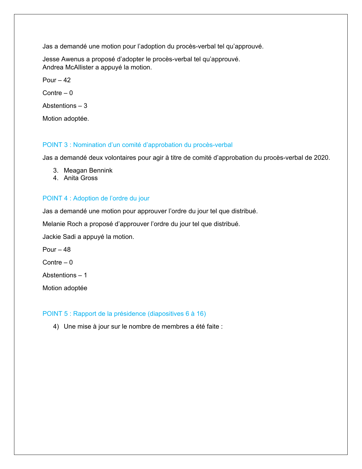Jas a demandé une motion pour l'adoption du procès-verbal tel qu'approuvé.

Jesse Awenus a proposé d'adopter le procès-verbal tel qu'approuvé. Andrea McAllister a appuyé la motion.

Pour  $-42$ Contre – 0

Abstentions – 3

Motion adoptée.

### POINT 3 : Nomination d'un comité d'approbation du procès-verbal

Jas a demandé deux volontaires pour agir à titre de comité d'approbation du procès-verbal de 2020.

- 3. Meagan Bennink
- 4. Anita Gross

### POINT 4 : Adoption de l'ordre du jour

Jas a demandé une motion pour approuver l'ordre du jour tel que distribué.

Melanie Roch a proposé d'approuver l'ordre du jour tel que distribué.

Jackie Sadi a appuyé la motion.

Pour  $-48$ 

Contre – 0

Abstentions – 1

Motion adoptée

### POINT 5 : Rapport de la présidence (diapositives 6 à 16)

4) Une mise à jour sur le nombre de membres a été faite :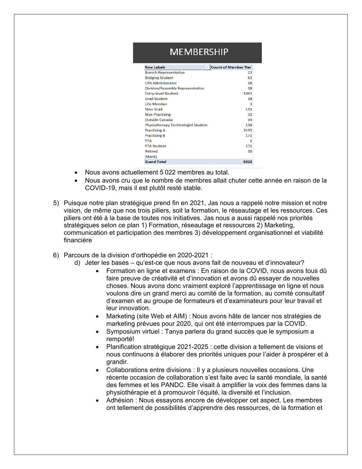# **MEMBERSHIP**

| <b>Row Labels</b>                         | <b>Count of Member Tier</b> |
|-------------------------------------------|-----------------------------|
| <b>Branch Representative</b>              | 22                          |
| <b>Bridging Student</b>                   | 61                          |
| <b>CPA Administrator</b>                  | 16                          |
| <b>Division/Assembly Representative</b>   | 18                          |
| <b>Entry-level Student</b>                | 1061                        |
| <b>Grad Student</b>                       | 18                          |
| <b>Life Member</b>                        | 3                           |
| New Grad                                  | 111                         |
| <b>Non-Practising</b>                     | 32                          |
| <b>Outside Canada</b>                     | 14                          |
| <b>Physiotherapy Technologist Student</b> | 118                         |
| <b>Practising A</b>                       | 3195                        |
| <b>Practising B</b>                       | 171                         |
| <b>PTA</b>                                | 1                           |
| <b>PTA Student</b>                        | 171                         |
| <b>Retired</b>                            | 10                          |
| (blank)                                   |                             |
| <b>Grand Total</b>                        | 5022                        |

- Nous avons actuellement 5 022 membres au total.
- Nous avons cru que le nombre de membres allait chuter cette année en raison de la COVID-19, mais il est plutôt resté stable.
- 5) Puisque notre plan stratégique prend fin en 2021, Jas nous a rappelé notre mission et notre vision, de même que nos trois piliers, soit la formation, le réseautage et les ressources. Ces piliers ont été à la base de toutes nos initiatives. Jas nous a aussi rappelé nos priorités stratégiques selon ce plan 1) Formation, réseautage et ressources 2) Marketing, communication et participation des membres 3) développement organisationnel et viabilité financière
- 6) Parcours de la division d'orthopédie en 2020-2021 :
	- d) Jeter les bases qu'est-ce que nous avons fait de nouveau et d'innovateur?
		- Formation en ligne et examens : En raison de la COVID, nous avons tous dû faire preuve de créativité et d'innovation et avons dû essayer de nouvelles choses. Nous avons donc vraiment exploré l'apprentissage en ligne et nous voulons dire un grand merci au comité de la formation, au comité consultatif d'examen et au groupe de formateurs et d'examinateurs pour leur travail et leur innovation.
		- Marketing (site Web et AIM) : Nous avons hâte de lancer nos stratégies de marketing prévues pour 2020, qui ont été interrompues par la COVID.
		- Symposium virtuel : Tanya parlera du grand succès que le symposium a remporté!
		- Planification stratégique 2021-2025 : cette division a tellement de visions et nous continuons à élaborer des priorités uniques pour l'aider à prospérer et à grandir.
		- Collaborations entre divisions : Il y a plusieurs nouvelles occasions. Une récente occasion de collaboration s'est faite avec la santé mondiale, la santé des femmes et les PANDC. Elle visait à amplifier la voix des femmes dans la physiothérapie et à promouvoir l'équité, la diversité et l'inclusion.
		- Adhésion : Nous essayons encore de développer cet aspect. Les membres ont tellement de possibilités d'apprendre des ressources, de la formation et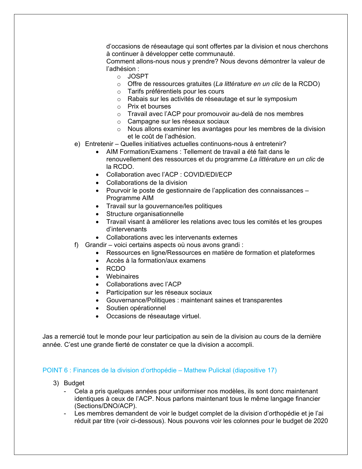d'occasions de réseautage qui sont offertes par la division et nous cherchons à continuer à développer cette communauté.

Comment allons-nous nous y prendre? Nous devons démontrer la valeur de l'adhésion :

- o JOSPT
- o Offre de ressources gratuites (*La littérature en un clic* de la RCDO)
- o Tarifs préférentiels pour les cours
- o Rabais sur les activités de réseautage et sur le symposium
- o Prix et bourses
- o Travail avec l'ACP pour promouvoir au-delà de nos membres
- o Campagne sur les réseaux sociaux
- o Nous allons examiner les avantages pour les membres de la division et le coût de l'adhésion.
- e) Entretenir Quelles initiatives actuelles continuons-nous à entretenir?
	- AIM Formation/Examens : Tellement de travail a été fait dans le renouvellement des ressources et du programme *La littérature en un clic* de la RCDO.
	- Collaboration avec l'ACP : COVID/EDI/ECP
	- Collaborations de la division
	- Pourvoir le poste de gestionnaire de l'application des connaissances Programme AIM
	- Travail sur la gouvernance/les politiques
	- Structure organisationnelle
	- Travail visant à améliorer les relations avec tous les comités et les groupes d'intervenants
	- Collaborations avec les intervenants externes
- f) Grandir voici certains aspects où nous avons grandi :
	- Ressources en ligne/Ressources en matière de formation et plateformes
	- Accès à la formation/aux examens
	- RCDO
	- Webinaires
	- Collaborations avec l'ACP
	- Participation sur les réseaux sociaux
	- Gouvernance/Politiques : maintenant saines et transparentes
	- Soutien opérationnel
	- Occasions de réseautage virtuel.

Jas a remercié tout le monde pour leur participation au sein de la division au cours de la dernière année. C'est une grande fierté de constater ce que la division a accompli.

#### POINT 6 : Finances de la division d'orthopédie – Mathew Pulickal (diapositive 17)

- 3) Budget
	- Cela a pris quelques années pour uniformiser nos modèles, ils sont donc maintenant identiques à ceux de l'ACP. Nous parlons maintenant tous le même langage financier (Sections/DNO/ACP).
	- Les membres demandent de voir le budget complet de la division d'orthopédie et je l'ai réduit par titre (voir ci-dessous). Nous pouvons voir les colonnes pour le budget de 2020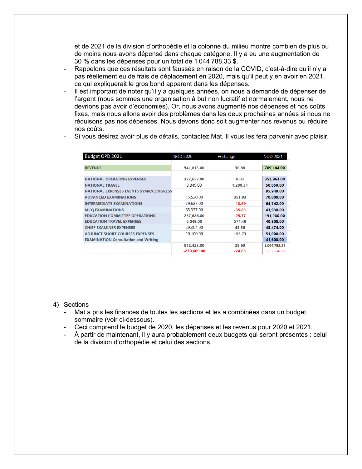et de 2021 de la division d'orthopédie et la colonne du milieu montre combien de plus ou de moins nous avons dépensé dans chaque catégorie. Il y a eu une augmentation de 30 % dans les dépenses pour un total de 1 044 788,33 \$.

- Rappelons que ces résultats sont faussés en raison de la COVID, c'est-à-dire qu'il n'y a pas réellement eu de frais de déplacement en 2020, mais qu'il peut y en avoir en 2021, ce qui expliquerait le gros bond apparent dans les dépenses.
- Il est important de noter qu'il y a quelques années, on nous a demandé de dépenser de l'argent (nous sommes une organisation à but non lucratif et normalement, nous ne devrions pas avoir d'économies). Or, nous avons augmenté nos dépenses et nos coûts fixes, mais nous allons avoir des problèmes dans les deux prochaines années si nous ne réduisons pas nos dépenses. Nous devons donc soit augmenter nos revenus ou réduire nos coûts.
- Si vous désirez avoir plus de détails, contactez Mat. Il vous les fera parvenir avec plaisir.

| Budget OPD 2021                             | <b>NOD 2020</b> | % change | <b>NOD 2021</b> |
|---------------------------------------------|-----------------|----------|-----------------|
|                                             |                 |          |                 |
| <b>REVENUE</b>                              | 541,813.00      | 30.88    | 709,104.00      |
|                                             |                 |          |                 |
| <b>NATIONAL OPERATING EXPENSES</b>          | 327.652.00      | 8.03     | 353.963.00      |
| <b>NATIONAL TRAVEL</b>                      | 3,849.00        | 1,200.34 | 50,050.00       |
| NATIONAL EXPENSES EVENTS SYMP/CONGRESS      |                 |          | 95.949.00       |
| <b>ADVANCED EXAMINATIONS</b>                | 15,520.00       | 351.03   | 70,000.00       |
| <b>INTERMEDIATE EXAMINATIONS</b>            | 79.627.00       | $-18.69$ | 64.742.00       |
| <b>MCQ EXAMINATIONS</b>                     | 65,337.00       | $-35.83$ | 41,930.00       |
| <b>EDUCATION COMMITTEE OPERATIONS</b>       | 257.686.00      | $-25.77$ | 191.280.00      |
| <b>EDUCATION TRAVEL EXPENSES</b>            | 6,049.00        | 574.49   | 40,800.00       |
| <b>CHIEF EXAMINER EXPENSES</b>              | 29,304.00       | 48.36    | 43,474.00       |
| <b>ADJUNCT SHORT COURSES EXPENSES</b>       | 20,100.00       | 153.73   | 51,000.00       |
| <b>EXAMINATION Consultation and Writing</b> |                 |          | 41.600.00       |
|                                             | 812,423.00      | 28.60    | 1,044,788.33    |
|                                             | $-270.609.00$   | $-24.05$ | $-335,684.33$   |
|                                             |                 |          |                 |

#### 4) Sections

- Mat a pris les finances de toutes les sections et les a combinées dans un budget sommaire (voir ci-dessous).
- Ceci comprend le budget de 2020, les dépenses et les revenus pour 2020 et 2021.
- À partir de maintenant, il y aura probablement deux budgets qui seront présentés : celui de la division d'orthopédie et celui des sections.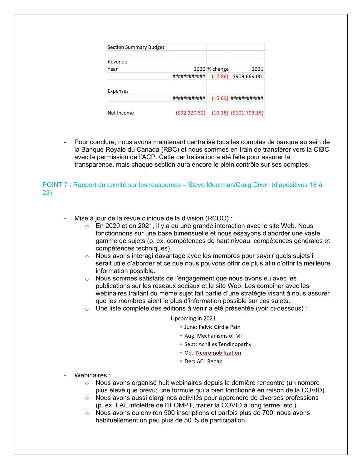| <b>Section Summary Budget</b> |                  |               |                           |
|-------------------------------|------------------|---------------|---------------------------|
|                               |                  |               |                           |
| Revenue                       |                  |               |                           |
| Year                          |                  | 2020 % change | 2021                      |
|                               | ############     |               | $(17.86)$ \$909,669.00    |
|                               |                  |               |                           |
| <b>Expenses</b>               |                  |               |                           |
|                               | ,,,,,,,,,,,,,,,, | (15.69)       | ########                  |
|                               |                  |               |                           |
| Net Income                    | (592, 220.52)    |               | $(10.38)$ $($101,793.15)$ |
|                               |                  |               |                           |

- Pour conclure, nous avons maintenant centralisé tous les comptes de banque au sein de la Banque Royale du Canada (RBC) et nous sommes en train de transférer vers la CIBC avec la permission de l'ACP. Cette centralisation a été faite pour assurer la transparence, mais chaque section aura encore le plein contrôle sur ses comptes.

### POINT 7 : Rapport du comité sur les ressources – Steve Moerman/Craig Dixon (diapositives 18 à 23)

- Mise à jour de la revue clinique de la division (RCDO) :
	- $\circ$  En 2020 et en 2021, il y a eu une grande interaction avec le site Web. Nous fonctionnons sur une base bimensuelle et nous essayons d'aborder une vaste gamme de sujets (p. ex. compétences de haut niveau, compétences générales et compétences techniques).
	- $\circ$  Nous avons interagi davantage avec les membres pour savoir quels sujets il serait utile d'aborder et ce que nous pouvons offrir de plus afin d'offrir la meilleure information possible.
	- o Nous sommes satisfaits de l'engagement que nous avons eu avec les publications sur les réseaux sociaux et le site Web. Les combiner avec les webinaires traitant du même sujet fait partie d'une stratégie visant à nous assurer que les membres aient le plus d'information possible sur ces sujets.
	- o Une liste complète des éditions à venir a été présentée (voir ci-dessous) :

#### Upcoming in 2021

- · June: Pelvic Girdle Pain
- Aug: Mechanisms of MT
- Sept: Achilles Tendinopathy
- Oct: Neuromobilization
- Dec: ACL Rehab

- Webinaires :
	- o Nous avons organisé huit webinaires depuis la dernière rencontre (un nombre plus élevé que prévu; une formule qui a bien fonctionné en raison de la COVID).
	- o Nous avons aussi élargi nos activités pour apprendre de diverses professions (p. ex. FAI, infolettre de l'IFOMPT, traiter la COVID à long terme, etc.).
	- o Nous avons eu environ 500 inscriptions et parfois plus de 700; nous avons habituellement un peu plus de 50 % de participation.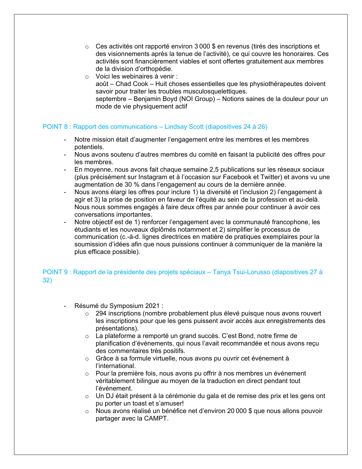- $\circ$  Ces activités ont rapporté environ 3 000 \$ en revenus (tirés des inscriptions et des visionnements après la tenue de l'activité), ce qui couvre les honoraires. Ces activités sont financièrement viables et sont offertes gratuitement aux membres de la division d'orthopédie.
- o Voici les webinaires à venir : août – Chad Cook – Huit choses essentielles que les physiothérapeutes doivent savoir pour traiter les troubles musculosquelettiques. septembre – Benjamin Boyd (NOI Group) – Notions saines de la douleur pour un mode de vie physiquement actif

### POINT 8 : Rapport des communications – Lindsay Scott (diapositives 24 à 26)

- Notre mission était d'augmenter l'engagement entre les membres et les membres potentiels.
- Nous avons soutenu d'autres membres du comité en faisant la publicité des offres pour les membres.
- En moyenne, nous avons fait chaque semaine 2,5 publications sur les réseaux sociaux (plus précisément sur Instagram et à l'occasion sur Facebook et Twitter) et avons vu une augmentation de 30 % dans l'engagement au cours de la dernière année.
- Nous avons élargi les offres pour inclure 1) la diversité et l'inclusion 2) l'engagement à agir et 3) la prise de position en faveur de l'équité au sein de la profession et au-delà. Nous nous sommes engagés à faire deux offres par année pour continuer à avoir ces conversations importantes.
- Notre objectif est de 1) renforcer l'engagement avec la communauté francophone, les étudiants et les nouveaux diplômés notamment et 2) simplifier le processus de communication (c.-à-d. lignes directrices en matière de pratiques exemplaires pour la soumission d'idées afin que nous puissions continuer à communiquer de la manière la plus efficace possible).

### POINT 9 : Rapport de la présidente des projets spéciaux – Tanya Tsui-Lorusso (diapositives 27 à 32)

- Résumé du Symposium 2021 :
	- $\circ$  294 inscriptions (nombre probablement plus élevé puisque nous avons rouvert les inscriptions pour que les gens puissent avoir accès aux enregistrements des présentations).
	- o La plateforme a remporté un grand succès. C'est Bond, notre firme de planification d'événements, qui nous l'avait recommandée et nous avons reçu des commentaires très positifs.
	- o Grâce à sa formule virtuelle, nous avons pu ouvrir cet événement à l'international.
	- o Pour la première fois, nous avons pu offrir à nos membres un événement véritablement bilingue au moyen de la traduction en direct pendant tout l'événement.
	- $\circ$  Un DJ était présent à la cérémonie du gala et de remise des prix et les gens ont pu porter un toast et s'amuser!
	- $\circ$  Nous avons réalisé un bénéfice net d'environ 20 000 \$ que nous allons pouvoir partager avec la CAMPT.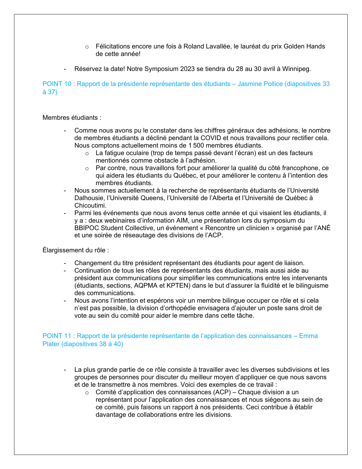- $\circ$  Félicitations encore une fois à Roland Lavallée, le lauréat du prix Golden Hands de cette année!
- Réservez la date! Notre Symposium 2023 se tiendra du 28 au 30 avril à Winnipeg.

POINT 10 : Rapport de la présidente représentante des étudiants – Jasmine Pollice (diapositives 33 à 37)

### Membres étudiants :

- Comme nous avons pu le constater dans les chiffres généraux des adhésions, le nombre de membres étudiants a décliné pendant la COVID et nous travaillons pour rectifier cela. Nous comptons actuellement moins de 1 500 membres étudiants.
	- o La fatigue oculaire (trop de temps passé devant l'écran) est un des facteurs mentionnés comme obstacle à l'adhésion.
	- $\circ$  Par contre, nous travaillons fort pour améliorer la qualité du côté francophone, ce qui aidera les étudiants du Québec, et pour améliorer le contenu à l'intention des membres étudiants.
- Nous sommes actuellement à la recherche de représentants étudiants de l'Université Dalhousie, l'Université Queens, l'Université de l'Alberta et l'Université de Québec à Chicoutimi.
- Parmi les événements que nous avons tenus cette année et qui visaient les étudiants, il y a : deux webinaires d'information AIM, une présentation lors du symposium du BBIPOC Student Collective, un événement « Rencontre un clinicien » organisé par l'ANÉ et une soirée de réseautage des divisions de l'ACP.

Élargissement du rôle :

- Changement du titre président représentant des étudiants pour agent de liaison.
- Continuation de tous les rôles de représentants des étudiants, mais aussi aide au président aux communications pour simplifier les communications entre les intervenants (étudiants, sections, AQPMA et KPTEN) dans le but d'assurer la fluidité et le bilinguisme des communications.
- Nous avons l'intention et espérons voir un membre bilingue occuper ce rôle et si cela n'est pas possible, la division d'orthopédie envisagera d'ajouter un poste sans droit de vote au sein du comité pour aider le membre dans cette tâche.

### POINT 11 : Rapport de la présidente représentante de l'application des connaissances – Emma Plater (diapositives 38 à 40)

- La plus grande partie de ce rôle consiste à travailler avec les diverses subdivisions et les groupes de personnes pour discuter du meilleur moyen d'appliquer ce que nous savons et de le transmettre à nos membres. Voici des exemples de ce travail :
	- $\circ$  Comité d'application des connaissances (ACP) Chaque division a un représentant pour l'application des connaissances et nous siégeons au sein de ce comité, puis faisons un rapport à nos présidents. Ceci contribue à établir davantage de collaborations entre les divisions.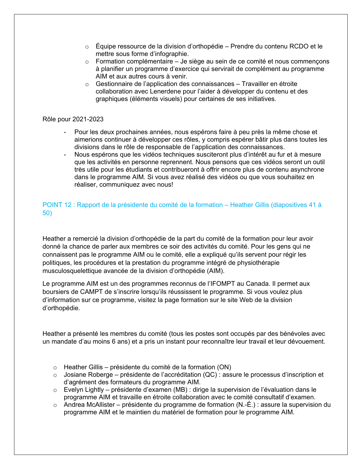- o Équipe ressource de la division d'orthopédie Prendre du contenu RCDO et le mettre sous forme d'infographie.
- $\circ$  Formation complémentaire Je siège au sein de ce comité et nous commençons à planifier un programme d'exercice qui servirait de complément au programme AIM et aux autres cours à venir.
- o Gestionnaire de l'application des connaissances Travailler en étroite collaboration avec Lenerdene pour l'aider à développer du contenu et des graphiques (éléments visuels) pour certaines de ses initiatives.

### Rôle pour 2021-2023

- Pour les deux prochaines années, nous espérons faire à peu près la même chose et aimerions continuer à développer ces rôles, y compris espérer bâtir plus dans toutes les divisions dans le rôle de responsable de l'application des connaissances.
- Nous espérons que les vidéos techniques susciteront plus d'intérêt au fur et à mesure que les activités en personne reprennent. Nous pensons que ces vidéos seront un outil très utile pour les étudiants et contribueront à offrir encore plus de contenu asynchrone dans le programme AIM. Si vous avez réalisé des vidéos ou que vous souhaitez en réaliser, communiquez avec nous!

POINT 12 : Rapport de la présidente du comité de la formation – Heather Gillis (diapositives 41 à 50)

Heather a remercié la division d'orthopédie de la part du comité de la formation pour leur avoir donné la chance de parler aux membres ce soir des activités du comité. Pour les gens qui ne connaissent pas le programme AIM ou le comité, elle a expliqué qu'ils servent pour régir les politiques, les procédures et la prestation du programme intégré de physiothérapie musculosquelettique avancée de la division d'orthopédie (AIM).

Le programme AIM est un des programmes reconnus de l'IFOMPT au Canada. Il permet aux boursiers de CAMPT de s'inscrire lorsqu'ils réussissent le programme. Si vous voulez plus d'information sur ce programme, visitez la page formation sur le site Web de la division d'orthopédie.

Heather a présenté les membres du comité (tous les postes sont occupés par des bénévoles avec un mandate d'au moins 6 ans) et a pris un instant pour reconnaître leur travail et leur dévouement.

- o Heather Gillis présidente du comité de la formation (ON)
- $\circ$  Josiane Roberge présidente de l'accréditation (QC) : assure le processus d'inscription et d'agrément des formateurs du programme AIM.
- $\circ$  Evelyn Lightly présidente d'examen (MB) : dirige la supervision de l'évaluation dans le programme AIM et travaille en étroite collaboration avec le comité consultatif d'examen.
- $\circ$  Andrea McAllister présidente du programme de formation (N.-É.) : assure la supervision du programme AIM et le maintien du matériel de formation pour le programme AIM.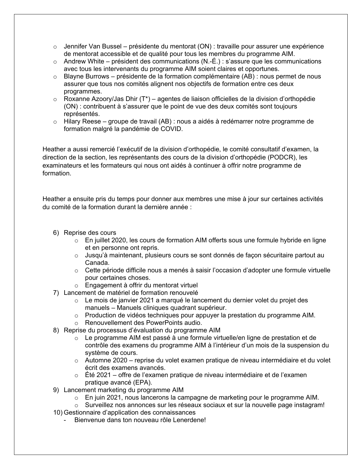- o Jennifer Van Bussel présidente du mentorat (ON) : travaille pour assurer une expérience de mentorat accessible et de qualité pour tous les membres du programme AIM.
- $\circ$  Andrew White président des communications (N.-É.) : s'assure que les communications avec tous les intervenants du programme AIM soient claires et opportunes.
- o Blayne Burrows présidente de la formation complémentaire (AB) : nous permet de nous assurer que tous nos comités alignent nos objectifs de formation entre ces deux programmes.
- $\circ$  Roxanne Azoory/Jas Dhir (T\*) agentes de liaison officielles de la division d'orthopédie (ON) : contribuent à s'assurer que le point de vue des deux comités sont toujours représentés.
- o Hilary Reese groupe de travail (AB) : nous a aidés à redémarrer notre programme de formation malgré la pandémie de COVID.

Heather a aussi remercié l'exécutif de la division d'orthopédie, le comité consultatif d'examen, la direction de la section, les représentants des cours de la division d'orthopédie (PODCR), les examinateurs et les formateurs qui nous ont aidés à continuer à offrir notre programme de formation.

Heather a ensuite pris du temps pour donner aux membres une mise à jour sur certaines activités du comité de la formation durant la dernière année :

- 6) Reprise des cours
	- $\circ$  En juillet 2020, les cours de formation AIM offerts sous une formule hybride en ligne et en personne ont repris.
	- $\circ$  Jusqu'à maintenant, plusieurs cours se sont donnés de façon sécuritaire partout au Canada.
	- $\circ$  Cette période difficile nous a menés à saisir l'occasion d'adopter une formule virtuelle pour certaines choses.
	- o Engagement à offrir du mentorat virtuel
- 7) Lancement de matériel de formation renouvelé
	- $\circ$  Le mois de janvier 2021 a marqué le lancement du dernier volet du projet des manuels – Manuels cliniques quadrant supérieur.
	- $\circ$  Production de vidéos techniques pour appuyer la prestation du programme AIM.
	- o Renouvellement des PowerPoints audio.
- 8) Reprise du processus d'évaluation du programme AIM
	- $\circ$  Le programme AIM est passé à une formule virtuelle/en ligne de prestation et de contrôle des examens du programme AIM à l'intérieur d'un mois de la suspension du système de cours.
	- $\circ$  Automne 2020 reprise du volet examen pratique de niveau intermédiaire et du volet écrit des examens avancés.
	- o Été 2021 offre de l'examen pratique de niveau intermédiaire et de l'examen pratique avancé (EPA).
- 9) Lancement marketing du programme AIM
	- o En juin 2021, nous lancerons la campagne de marketing pour le programme AIM.
	- $\circ$  Surveillez nos annonces sur les réseaux sociaux et sur la nouvelle page instagram!
- 10) Gestionnaire d'application des connaissances
	- Bienvenue dans ton nouveau rôle Lenerdene!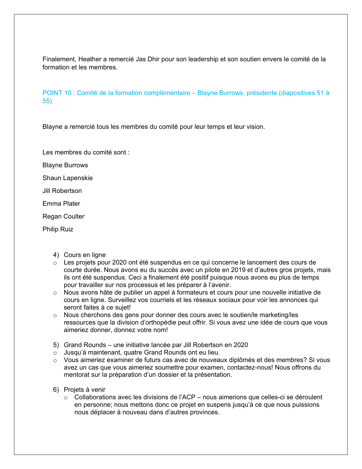Finalement, Heather a remercié Jas Dhir pour son leadership et son soutien envers le comité de la formation et les membres.

POINT 10 : Comité de la formation complémentaire – Blayne Burrows, présidente (diapositives 51 à 55)

Blayne a remercié tous les membres du comité pour leur temps et leur vision.

Les membres du comité sont :

Blayne Burrows

Shaun Lapenskie

Jill Robertson

Emma Plater

Regan Coulter

Philip Ruiz

- 4) Cours en ligne
- $\circ$  Les projets pour 2020 ont été suspendus en ce qui concerne le lancement des cours de courte durée. Nous avons eu du succès avec un pilote en 2019 et d'autres gros projets, mais ils ont été suspendus. Ceci a finalement été positif puisque nous avons eu plus de temps pour travailler sur nos processus et les préparer à l'avenir.
- $\circ$  Nous avons hâte de publier un appel à formateurs et cours pour une nouvelle initiative de cours en ligne. Surveillez vos courriels et les réseaux sociaux pour voir les annonces qui seront faites à ce sujet!
- o Nous cherchons des gens pour donner des cours avec le soutien/le marketing/les ressources que la division d'orthopédie peut offrir. Si vous avez une idée de cours que vous aimeriez donner, donnez votre nom!
- 5) Grand Rounds une initiative lancée par Jill Robertson en 2020
- o Jusqu'à maintenant, quatre Grand Rounds ont eu lieu.
- o Vous aimeriez examiner de futurs cas avec de nouveaux diplômés et des membres? Si vous avez un cas que vous aimeriez soumettre pour examen, contactez-nous! Nous offrons du mentorat sur la préparation d'un dossier et la présentation.
- 6) Projets à venir
	- $\circ$  Collaborations avec les divisions de l'ACP nous aimerions que celles-ci se déroulent en personne; nous mettons donc ce projet en suspens jusqu'à ce que nous puissions nous déplacer à nouveau dans d'autres provinces.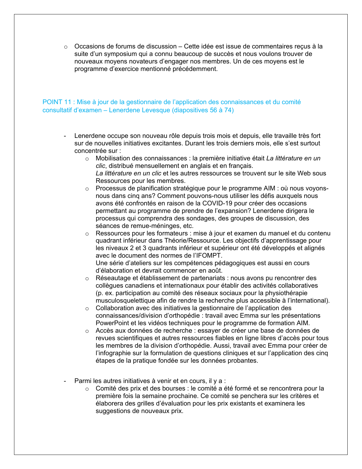$\circ$  Occasions de forums de discussion – Cette idée est issue de commentaires reçus à la suite d'un symposium qui a connu beaucoup de succès et nous voulons trouver de nouveaux moyens novateurs d'engager nos membres. Un de ces moyens est le programme d'exercice mentionné précédemment.

### POINT 11 : Mise à jour de la gestionnaire de l'application des connaissances et du comité consultatif d'examen – Lenerdene Levesque (diapositives 56 à 74)

- Lenerdene occupe son nouveau rôle depuis trois mois et depuis, elle travaille très fort sur de nouvelles initiatives excitantes. Durant les trois derniers mois, elle s'est surtout concentrée sur :
	- o Mobilisation des connaissances : la première initiative était *La littérature en un clic*, distribué mensuellement en anglais et en français. *La littérature en un clic* et les autres ressources se trouvent sur le site Web sous Ressources pour les membres.
	- o Processus de planification stratégique pour le programme AIM : où nous voyonsnous dans cinq ans? Comment pouvons-nous utiliser les défis auxquels nous avons été confrontés en raison de la COVID-19 pour créer des occasions permettant au programme de prendre de l'expansion? Lenerdene dirigera le processus qui comprendra des sondages, des groupes de discussion, des séances de remue-méninges, etc.
	- o Ressources pour les formateurs : mise à jour et examen du manuel et du contenu quadrant inférieur dans Théorie/Ressource. Les objectifs d'apprentissage pour les niveaux 2 et 3 quadrants inférieur et supérieur ont été développés et alignés avec le document des normes de l'IFOMPT.

Une série d'ateliers sur les compétences pédagogiques est aussi en cours d'élaboration et devrait commencer en août.

- o Réseautage et établissement de partenariats : nous avons pu rencontrer des collègues canadiens et internationaux pour établir des activités collaboratives (p. ex. participation au comité des réseaux sociaux pour la physiothérapie musculosquelettique afin de rendre la recherche plus accessible à l'international).
- $\circ$  Collaboration avec des initiatives la gestionnaire de l'application des connaissances/division d'orthopédie : travail avec Emma sur les présentations PowerPoint et les vidéos techniques pour le programme de formation AIM.
- o Accès aux données de recherche : essayer de créer une base de données de revues scientifiques et autres ressources fiables en ligne libres d'accès pour tous les membres de la division d'orthopédie. Aussi, travail avec Emma pour créer de l'infographie sur la formulation de questions cliniques et sur l'application des cinq étapes de la pratique fondée sur les données probantes.
- Parmi les autres initiatives à venir et en cours, il y a :
	- o Comité des prix et des bourses : le comité a été formé et se rencontrera pour la première fois la semaine prochaine. Ce comité se penchera sur les critères et élaborera des grilles d'évaluation pour les prix existants et examinera les suggestions de nouveaux prix.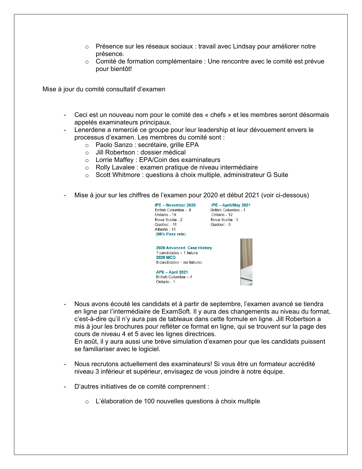- $\circ$  Présence sur les réseaux sociaux : travail avec Lindsay pour améliorer notre présence.
- o Comité de formation complémentaire : Une rencontre avec le comité est prévue pour bientôt!

Mise à jour du comité consultatif d'examen

- Ceci est un nouveau nom pour le comité des « chefs » et les membres seront désormais appelés examinateurs principaux.
- Lenerdene a remercié ce groupe pour leur leadership et leur dévouement envers le processus d'examen. Les membres du comité sont :
	- o Paolo Sanzo : secrétaire, grille EPA
	- o Jill Robertson : dossier médical
	- o Lorrie Maffey : EPA/Coin des examinateurs
	- o Rolly Lavalee : examen pratique de niveau intermédiaire
	- o Scott Whitmore : questions à choix multiple, administrateur G Suite
- Mise à jour sur les chiffres de l'examen pour 2020 et début 2021 (voir ci-dessous)

| <b>IPE - November 2020</b><br>British Columbia - 8<br>Ontario - 19<br>Nova Scotia - 2<br>Quebec - 11<br>Alberta - 15<br>(98% Pass rate) | IPE - April/May 2021<br>British Columbia - 1<br>Ontario - 12<br>Nova Scotia - 5<br>Quebec - 9 |
|-----------------------------------------------------------------------------------------------------------------------------------------|-----------------------------------------------------------------------------------------------|
| 2020 Advanced Case History<br>7 candidates – 1 failure<br><b>2020 MCQ</b><br>8 candidates - no failures                                 |                                                                                               |

APE - April 2021 British Columbia - 4 Ontario - 1



- Nous avons écouté les candidats et à partir de septembre, l'examen avancé se tiendra en ligne par l'intermédiaire de ExamSoft. Il y aura des changements au niveau du format, c'est-à-dire qu'il n'y aura pas de tableaux dans cette formule en ligne. Jill Robertson a mis à jour les brochures pour refléter ce format en ligne, qui se trouvent sur la page des cours de niveau 4 et 5 avec les lignes directrices.

En août, il y aura aussi une brève simulation d'examen pour que les candidats puissent se familiariser avec le logiciel.

- Nous recrutons actuellement des examinateurs! Si vous être un formateur accrédité niveau 3 inférieur et supérieur, envisagez de vous joindre à notre équipe.
- D'autres initiatives de ce comité comprennent :
	- $\circ$  L'élaboration de 100 nouvelles questions à choix multiple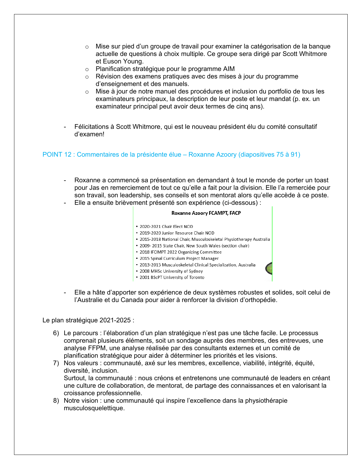- $\circ$  Mise sur pied d'un groupe de travail pour examiner la catégorisation de la banque actuelle de questions à choix multiple. Ce groupe sera dirigé par Scott Whitmore et Euson Young.
- o Planification stratégique pour le programme AIM
- o Révision des examens pratiques avec des mises à jour du programme d'enseignement et des manuels.
- o Mise à jour de notre manuel des procédures et inclusion du portfolio de tous les examinateurs principaux, la description de leur poste et leur mandat (p. ex. un examinateur principal peut avoir deux termes de cinq ans).
- Félicitations à Scott Whitmore, qui est le nouveau président élu du comité consultatif d'examen!

### POINT 12 : Commentaires de la présidente élue – Roxanne Azoory (diapositives 75 à 91)

- Roxanne a commencé sa présentation en demandant à tout le monde de porter un toast pour Jas en remerciement de tout ce qu'elle a fait pour la division. Elle l'a remerciée pour son travail, son leadership, ses conseils et son mentorat alors qu'elle accède à ce poste.
- Elle a ensuite brièvement présenté son expérience (ci-dessous) :

#### **Roxanne Azoory FCAMPT, FACP**

- 2020-2021 Chair Elect NOD
- 2019-2020 Junior Resource Chair NOD
- 2015-2018 National Chair, Musculoskeletal Physiotherapy Australia
- 2009-2015 State Chair, New South Wales (section chair)
- 2018 IFOMPT 2022 Organizing Committee
- 2015 Spinal Curriculum Project Manager
- 2013-2015 Musculoskeletal Clinical Specialization, Australia
- 2008 MHSc University of Sydney
- 2001 BScPT University of Toronto
- Elle a hâte d'apporter son expérience de deux systèmes robustes et solides, soit celui de l'Australie et du Canada pour aider à renforcer la division d'orthopédie.

Le plan stratégique 2021-2025 :

- 6) Le parcours : l'élaboration d'un plan stratégique n'est pas une tâche facile. Le processus comprenait plusieurs éléments, soit un sondage auprès des membres, des entrevues, une analyse FFPM, une analyse réalisée par des consultants externes et un comité de planification stratégique pour aider à déterminer les priorités et les visions.
- 7) Nos valeurs : communauté, axé sur les membres, excellence, viabilité, intégrité, équité, diversité, inclusion. Surtout, la communauté : nous créons et entretenons une communauté de leaders en créant une culture de collaboration, de mentorat, de partage des connaissances et en valorisant la croissance professionnelle.
- 8) Notre vision : une communauté qui inspire l'excellence dans la physiothérapie musculosquelettique.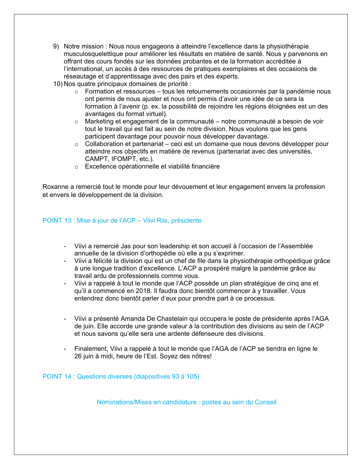- 9) Notre mission : Nous nous engageons à atteindre l'excellence dans la physiothérapie musculosquelettique pour améliorer les résultats en matière de santé. Nous y parvenons en offrant des cours fondés sur les données probantes et de la formation accréditée à l'international, un accès à des ressources de pratiques exemplaires et des occasions de réseautage et d'apprentissage avec des pairs et des experts.
- 10) Nos quatre principaux domaines de priorité :
	- $\circ$  Formation et ressources tous les retournements occasionnés par la pandémie nous ont permis de nous ajuster et nous ont permis d'avoir une idée de ce sera la formation à l'avenir (p. ex. la possibilité de rejoindre les régions éloignées est un des avantages du format virtuel).
	- o Marketing et engagement de la communauté notre communauté a besoin de voir tout le travail qui est fait au sein de notre division. Nous voulons que les gens participent davantage pour pouvoir nous développer davantage.
	- $\circ$  Collaboration et partenariat ceci est un domaine que nous devons développer pour atteindre nos objectifs en matière de revenus (partenariat avec des universités, CAMPT, IFOMPT, etc.).
	- o Excellence opérationnelle et viabilité financière

Roxanne a remercié tout le monde pour leur dévouement et leur engagement envers la profession et envers le développement de la division.

### POINT 13 : Mise à jour de l'ACP – Viivi Riis, présidente

- Viivi a remercié Jas pour son leadership et son accueil à l'occasion de l'Assemblée annuelle de la division d'orthopédie où elle a pu s'exprimer.
- Viivi a félicité la division qui est un chef de file dans la physiothérapie orthopédique grâce à une longue tradition d'excellence. L'ACP a prospéré malgré la pandémie grâce au travail ardu de professionnels comme vous.
- Viivi a rappelé à tout le monde que l'ACP possède un plan stratégique de cinq ans et qu'il a commencé en 2018. Il faudra donc bientôt commencer à y travailler. Vous entendrez donc bientôt parler d'eux pour prendre part à ce processus.
- Viivi a présenté Amanda De Chastelain qui occupera le poste de présidente après l'AGA de juin. Elle accorde une grande valeur à la contribution des divisions au sein de l'ACP et nous savons qu'elle sera une ardente défenseure des divisions.
- Finalement, Viivi a rappelé à tout le monde que l'AGA de l'ACP se tiendra en ligne le 26 juin à midi, heure de l'Est. Soyez des nôtres!

POINT 14 : Questions diverses (diapositives 93 à 105)

Nominations/Mises en candidature : postes au sein du Conseil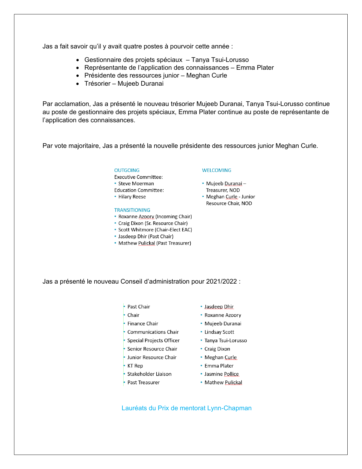Jas a fait savoir qu'il y avait quatre postes à pourvoir cette année :

- Gestionnaire des projets spéciaux Tanya Tsui-Lorusso
- Représentante de l'application des connaissances Emma Plater
- Présidente des ressources junior Meghan Curle
- Trésorier Mujeeb Duranai

Par acclamation, Jas a présenté le nouveau trésorier Mujeeb Duranai, Tanya Tsui-Lorusso continue au poste de gestionnaire des projets spéciaux, Emma Plater continue au poste de représentante de l'application des connaissances.

Par vote majoritaire, Jas a présenté la nouvelle présidente des ressources junior Meghan Curle.

#### **OUTGOING**

**Executive Committee:** • Steve Moerman

- **Education Committee:**
- Hilary Reese

#### **TRANSITIONING**

- Roxanne Azoory (Incoming Chair)
- Craig Dixon (Sr. Resource Chair)
- Scott Whitmore (Chair-Elect EAC)
- Jasdeep Dhir (Past Chair)
- Mathew Pulickal (Past Treasurer)

#### **WELCOMING**

- · Mujeeb Duranai-Treasurer, NOD
- Meghan Curle Junior Resource Chair, NOD

- Jas a présenté le nouveau Conseil d'administration pour 2021/2022 :
	- Past Chair
	- Chair
	- Finance Chair
	- Communications Chair
	- Special Projects Officer
	- Senior Resource Chair
	- Junior Resource Chair
	- $\cdot$  KT Rep
	- Stakeholder Liaison
	- Past Treasurer
- Jasdeep Dhir
- Roxanne Azoory
- Mujeeb Duranai
- Lindsay Scott
- Tanya Tsui-Lorusso
- Craig Dixon
- Meghan Curle
- Emma Plater
- · Jasmine Pollice
- Mathew Pulickal

Lauréats du Prix de mentorat Lynn-Chapman

- 
- 
- 
-